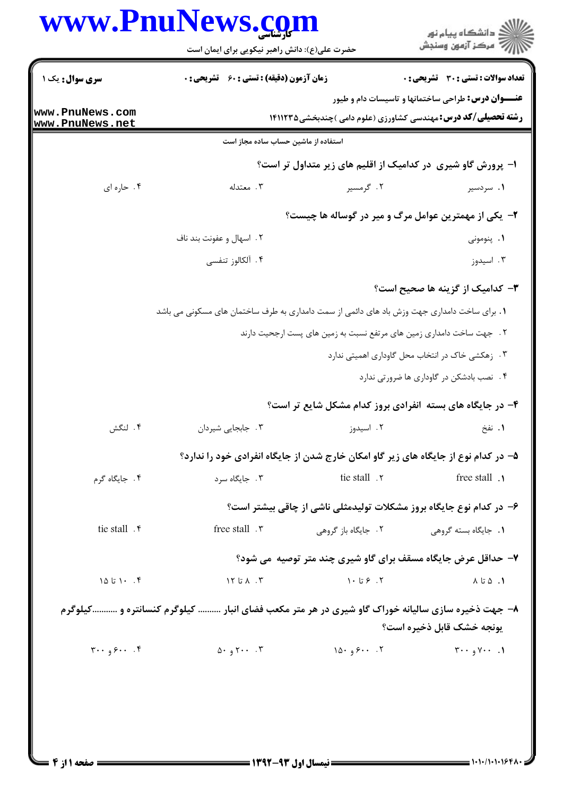## www.PnuNews.com

|                                                                 | حضرت علی(ع): دانش راهبر نیکویی برای ایمان است                                                  |                                | ڪ دانشڪاه پيام نور<br>7- مرڪز آزمون وسنڊش                                           |  |
|-----------------------------------------------------------------|------------------------------------------------------------------------------------------------|--------------------------------|-------------------------------------------------------------------------------------|--|
| سری سوال : یک ۱                                                 | <b>زمان آزمون (دقیقه) : تستی : 60 ٪ تشریحی : 0</b>                                             |                                | تعداد سوالات : تستي : 30 ٪ تشريحي : 0                                               |  |
|                                                                 |                                                                                                |                                | <b>عنـــوان درس:</b> طراحی ساختمانها و تاسیسات دام و طیور                           |  |
| <b>ww.PnuNews.com</b><br>ww.PnuNews.net                         |                                                                                                |                                | <b>رشته تحصیلی/کد درس: م</b> هندسی کشاورزی (علوم دامی )چندبخشی1۴۱۱۲۳۵               |  |
|                                                                 | استفاده از ماشین حساب ساده مجاز است                                                            |                                |                                                                                     |  |
|                                                                 |                                                                                                |                                | ۱– پرورش گاو شیری در کدامیک از اقلیم های زیر متداول تر است؟                         |  |
| ۰۴ حاره ای                                                      | ۰۳ معتدله                                                                                      | ۰۲ گرمسیر                      | ۰۱ سردسیر                                                                           |  |
|                                                                 | ۲- یکی از مهمترین عوامل مرگ و میر در گوساله ها چیست؟                                           |                                |                                                                                     |  |
|                                                                 | ۲ . اسهال و عفونت بند ناف                                                                      |                                | ۰۱. پنومونی                                                                         |  |
|                                                                 | ۴. آلکالوز تنفسی                                                                               |                                | ۰۳ اسیدوز                                                                           |  |
|                                                                 |                                                                                                |                                | <b>۳</b> – کدامیک از گزینه ها صحیح است؟                                             |  |
|                                                                 | 1. برای ساخت دامداری جهت وزش باد های دائمی از سمت دامداری به طرف ساختمان های مسکونی می باشد    |                                |                                                                                     |  |
|                                                                 |                                                                                                |                                | ۲ . جهت ساخت دامداری زمین های مرتفع نسبت به زمین های پست ارجحیت دارند               |  |
|                                                                 | ۰۳ زهکشی خاک در انتخاب محل گاوداری اهمیتی ندارد                                                |                                |                                                                                     |  |
|                                                                 |                                                                                                |                                | ۰۴ نصب بادشکن در گاوداری ها ضرورتی ندارد                                            |  |
|                                                                 |                                                                                                |                                | ۴- در جایگاه های بسته آنفرادی بروز کدام مشکل شایع تر است؟                           |  |
| ۴. لنگش                                                         | ۰۳ جابجایی شیردان                                                                              | ۲. اسیدوز                      | ۰۱ نفخ                                                                              |  |
|                                                                 |                                                                                                |                                | ۵– در کدام نوع از جایگاه های زیر گاو امکان خارج شدن از جایگاه انفرادی خود را ندارد؟ |  |
| ۰۴ جایگاه گرم                                                   | ۰۳ جایگاه سرد                                                                                  | tie stall . ٢                  | free stall .                                                                        |  |
|                                                                 |                                                                                                |                                |                                                                                     |  |
| tie stall . r                                                   | free stall . ٣                                                                                 |                                | ۶- در کدام نوع جایگاه بروز مشکلات تولیدمثلی ناشی از چاقی بیشتر است؟                 |  |
|                                                                 |                                                                                                | ۰۲ جایگاه باز گروهی            | ۰۱ جایگاه بسته گروهی                                                                |  |
|                                                                 |                                                                                                |                                | ۷- حداقل عرض جایگاه مسقف برای گاو شیری چند متر توصیه ًمی شود؟                       |  |
| ۰۰ ۱۵ تا ۱۵                                                     | ۲. ۱۲ تا ۱۲                                                                                    | $\cdot$ 7. $\cdot$ 5 $\cdot$ 1 | ۰۱ ۵ تا ۸                                                                           |  |
|                                                                 | ۸- جهت ذخیره سازی سالیانه خوراک گاو شیری در هر متر مکعب فضای انبار  کیلوگرم کنسانتره و کیلوگرم |                                |                                                                                     |  |
|                                                                 |                                                                                                |                                | <b>یونجه خشک قابل ذخیره است؟</b>                                                    |  |
| $\mathbf{y} \cdot \mathbf{y} \cdot \mathbf{y} \cdot \mathbf{y}$ | 0.97                                                                                           | 10.99                          | $\mathbf{y} \cdot \mathbf{y} \cdot \mathbf{y} \cdot \mathbf{y}$                     |  |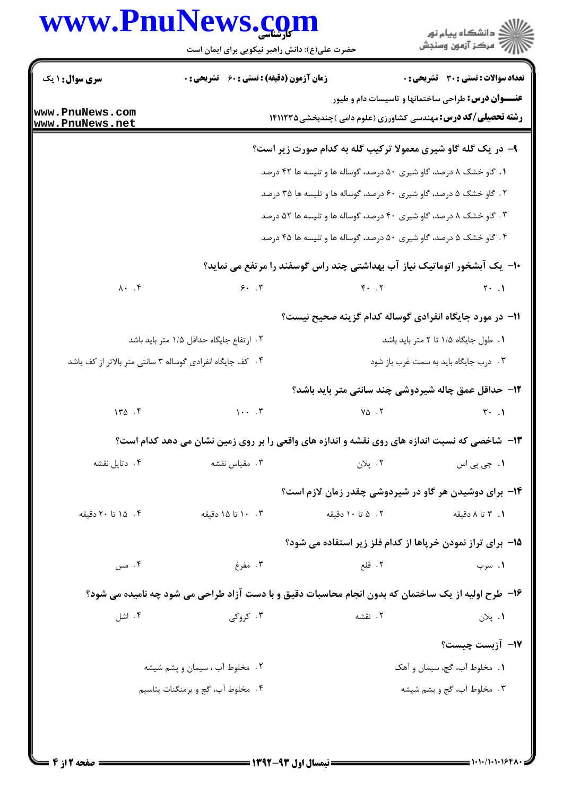## www.PnuNews.com

| <b>سری سوال : ۱ یک</b>                                    | <b>زمان آزمون (دقیقه) : تستی : 60 ٪ تشریحی : 0</b> |                         | <b>تعداد سوالات : تستی : 30 ٪ تشریحی : 0</b>                                                        |
|-----------------------------------------------------------|----------------------------------------------------|-------------------------|-----------------------------------------------------------------------------------------------------|
|                                                           |                                                    |                         | <b>عنـــوان درس:</b> طراحی ساختمانها و تاسیسات دام و طیور                                           |
| www.PnuNews.com<br>www.PnuNews.net                        |                                                    |                         | <b>رشته تحصیلی/کد درس: م</b> هندسی کشاورزی (علوم دامی )چندبخشی1۴۱۱۲۳۵                               |
|                                                           |                                                    |                         | ۹- در یک گله گاو شیری معمولا ترکیب گله به کدام صورت زیر است؟                                        |
|                                                           |                                                    |                         | ۱. گاو خشک ۸ درصد، گاو شیری ۵۰ درصد، گوساله ها و تلیسه ها ۴۲ درصد                                   |
|                                                           |                                                    |                         | ۲. گاو خشک ۵ درصد، گاو شیری ۶۰ درصد، گوساله ها و تلیسه ها ۳۵ درصد                                   |
|                                                           |                                                    |                         | ۰۳ گاو خشک ۸ درصد، گاو شیری ۴۰ درصد، گوساله ها و تلیسه ها ۵۲ درصد                                   |
|                                                           |                                                    |                         | ۰۴ گاو خشک ۵ درصد، گاو شیری ۵۰ درصد، گوساله ها و تلیسه ها ۴۵ درصد                                   |
|                                                           |                                                    |                         | ∙۱− یک آبشخور اتوماتیک نیاز آب بهداشتی چند راس گوسفند را مرتفع می نماید؟                            |
| $\lambda \cdot \cdot \cdot$ ۴                             | 5.7                                                | $F \cdot \cdot \cdot Y$ | $Y \cdot \cdot \cdot$                                                                               |
|                                                           |                                                    |                         | 1۱– در مورد جایگاه انفرادی گوساله کدام گزینه صحیح نیست؟                                             |
|                                                           | ۲ . ارتفاع جایگاه حداقل ۱/۵ متر باید باشد          |                         | ٠١. طول جايگاه ١/٥ تا ٢ متر بايد باشد                                                               |
| ۰۴ کف جایگاه انفرادی گوساله ۳ سانتی متر بالاتر از کف یاشد |                                                    |                         | ۰۳ درب جایگاه باید به سمت غرب باز شود                                                               |
|                                                           |                                                    |                         | 12- حداقل عمق چاله شیردوشی چند سانتی متر باید باشد؟                                                 |
| 140.5                                                     | $\cdots$                                           | $Y\Delta$ . $Y$         | $\mathbf{r} \cdot \mathbf{v}$                                                                       |
|                                                           |                                                    |                         | ۱۳- شاخصی که نسبت اندازه های روی نقشه و اندازه های واقعی را بر روی زمین نشان می دهد کدام است؟       |
| ۰۴ دتایل نقشه                                             | ۰۳ مقیاس نقشه                                      | ۰۲ پلان                 | <b>۱.</b> جي پي اس                                                                                  |
|                                                           |                                                    |                         | 1۴- برای دوشیدن هر گاو در شیردوشی چقدر زمان لازم است؟                                               |
| ۰۴ ۱۵ تا ۲۰ دقیقه                                         | ۰.۳ ۱۰ تا ۱۵ دقیقه                                 | ۰۲ ۵ تا ۱۰ دقیقه        | ۰۱. ۳ تا ۸ دقیقه                                                                                    |
|                                                           |                                                    |                         | 15- برای تراز نمودن خریاها از کدام فلز زیر استفاده می شود؟                                          |
| ۰۴ مس                                                     | ۰۳ مفرغ                                            | ٢. قلع                  | ۰۱ سرب                                                                                              |
|                                                           |                                                    |                         | ۱۶- طرح اولیه از یک ساختمان که بدون انجام محاسبات دقیق و با دست آزاد طراحی می شود چه نامیده می شود؟ |
| ۰۴ اشل                                                    | ۰۳ کروگی                                           | ٢. نقشه                 | ۰۱. پلان                                                                                            |
|                                                           |                                                    |                         | N− آزبست چیست؟                                                                                      |
|                                                           | ٢. مخلوط آب ، سيمان و پشم شيشه                     |                         | ٠١. مخلوط آب، گچ، سيمان و آهک                                                                       |
|                                                           | ۰۴ مخلوط آب، گچ و پرمنگنات پتاسیم                  |                         | ۰۳ مخلوط آب، گچ و پشم شیشه                                                                          |
|                                                           |                                                    |                         |                                                                                                     |
|                                                           |                                                    |                         |                                                                                                     |

حضرت علی(ع): دانش راهبر نیکویی برای ایمان است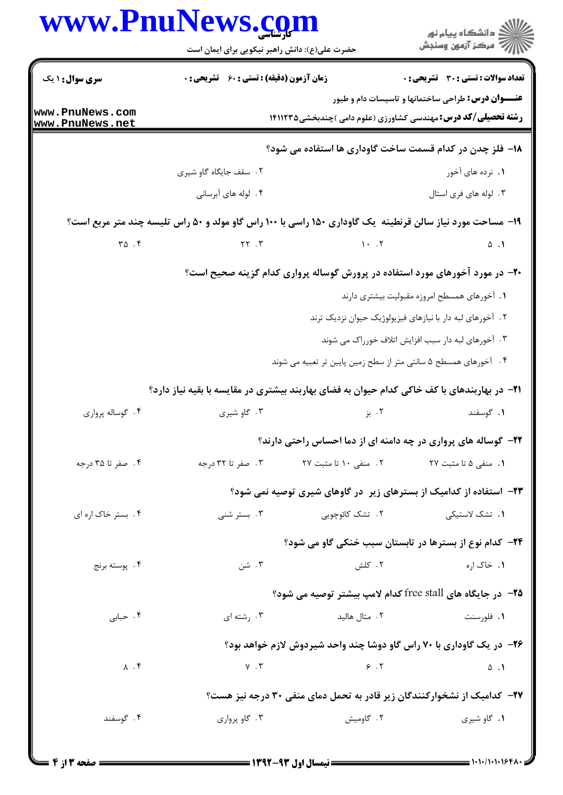|                                       | www.PnuNews.com                                                                                            |                                                                  | انشگاه پيام نور)<br>اگر مرکز آزمون وسنجش                                                                                          |
|---------------------------------------|------------------------------------------------------------------------------------------------------------|------------------------------------------------------------------|-----------------------------------------------------------------------------------------------------------------------------------|
|                                       | حضرت علی(ع): دانش راهبر نیکویی برای ایمان است                                                              |                                                                  |                                                                                                                                   |
| <b>سری سوال : ۱ یک</b>                | <b>زمان آزمون (دقیقه) : تستی : 60 ٪ تشریحی : 0</b>                                                         |                                                                  | تعداد سوالات : تستي : 30 - تشريحي : 0                                                                                             |
| www.PnuNews.com<br>www.PnuNews.net    |                                                                                                            |                                                                  | <b>عنـــوان درس:</b> طراحی ساختمانها و تاسیسات دام و طیور<br><b>رشته تحصیلی/کد درس: م</b> هندسی کشاورزی (علوم دامی )چندبخشی5۱۱۲۳۵ |
|                                       |                                                                                                            |                                                                  | 18- فلز چدن در کدام قسمت ساخت گاوداری ها استفاده می شود؟                                                                          |
|                                       | ۰۲ سقف جایگاه گاو شیری                                                                                     |                                                                  | ۱. نرده های آخور                                                                                                                  |
|                                       | ۴. لوله های آبرسانی                                                                                        |                                                                  | ۰۳ لوله های فری استال                                                                                                             |
|                                       | ۱۹- مساحت مورد نیاز سالن قرنطینه ًیک گاوداری ۱۵۰ راسی با ۱۰۰ راس گاو مولد و ۵۰ راس تلیسه چند متر مربع است؟ |                                                                  |                                                                                                                                   |
| $\mathbf{r}\mathbf{a}$ . $\mathbf{r}$ | $YY \tY$ $Y$                                                                                               |                                                                  |                                                                                                                                   |
|                                       |                                                                                                            |                                                                  | ۲۰- در مورد آخورهای مورد استفاده در پرورش گوساله پرواری کدام گزینه صحیح است؟                                                      |
|                                       |                                                                                                            |                                                                  | ٠١ آخورهاى همسطح امروزه مقبوليت بيشترى دارند                                                                                      |
|                                       |                                                                                                            |                                                                  | ۲. آخورهای لبه دار با نیازهای فیزیولوژیک حیوان نزدیک ترند                                                                         |
|                                       |                                                                                                            |                                                                  | ۰۳ آخورهای لبه دار سبب افزایش اتلاف خورراک می شوند                                                                                |
|                                       |                                                                                                            | ۴ . آخورهای همسطح ۵ سانتی متر از سطح زمین پایین تر تعبیه می شوند |                                                                                                                                   |
|                                       | <b>۲۱</b> - در بهاربندهای با کف خاکی کدام حیوان به فضای بهاربند بیشتری در مقایسه با بقیه نیاز دارد؟        |                                                                  |                                                                                                                                   |
| ۰۴ گوساله پرواري                      | ۰۳ گاو شیری                                                                                                | ۰۲ بز                                                            | ۰۱ گوسفند                                                                                                                         |
|                                       |                                                                                                            |                                                                  | ۲۲- گوساله های پرواری در چه دامنه ای از دما احساس راحتی دارند؟                                                                    |
| ۴. صفر تا ۳۵ درجه                     | ۰۳ صفر تا ۳۲ درجه                                                                                          | ٢. منفى ١٠ تا مثبت ٢٧                                            | <b>۱.</b> منفی ۵ تا مثبت ۲۷                                                                                                       |
|                                       |                                                                                                            |                                                                  | <b>۲۳</b> - استفاده از کدامیک از بسترهای زیر در گاوهای شیری توصیه نمی شود؟                                                        |
| ۴. بستر خاک اره ای                    | ۰۳ بستر شنی                                                                                                | ۲. تشک کائوچویی                                                  | ۰۱. تشک لاستیک <sub>ی</sub>                                                                                                       |
|                                       |                                                                                                            |                                                                  | <b>۳۴</b> − کدام نوع از بسترها در تابستان سبب خنکی گاو می شود؟                                                                    |
| ۰۴ پوسته برنج                         | ۰۳ شن                                                                                                      | ۰۲ کلش                                                           | ۱. خاک اره                                                                                                                        |
|                                       |                                                                                                            |                                                                  | <b>۲۵</b> – در جایگاه های free stall کدام لامپ بیشتر توصیه می شود؟                                                                |
| ۰۴ حبابي                              | ۰۳ رشته ای                                                                                                 | ۰۲ متال هالید                                                    | ۰۱ فلورسنت                                                                                                                        |
|                                       |                                                                                                            |                                                                  | ۲۶- در یک گاوداری با ۷۰ راس گاو دوشا چند واحد شیردوش لازم خواهد بود؟                                                              |
| $\Lambda$ . $\mathfrak{f}$            | $V \cdot V$                                                                                                | 9.7                                                              | $\Delta$ .                                                                                                                        |
|                                       |                                                                                                            |                                                                  | <b>۲۷</b> – کدامیک از نشخوارکنندگان زیر قادر به تحمل دمای منفی ۳۰ درجه نیز هست؟                                                   |
| ۰۴ گوسفند                             | ۰۳ گاو پرواري                                                                                              | ۲. گاومیش                                                        | ۰۱ گاو شیری                                                                                                                       |
|                                       |                                                                                                            |                                                                  |                                                                                                                                   |